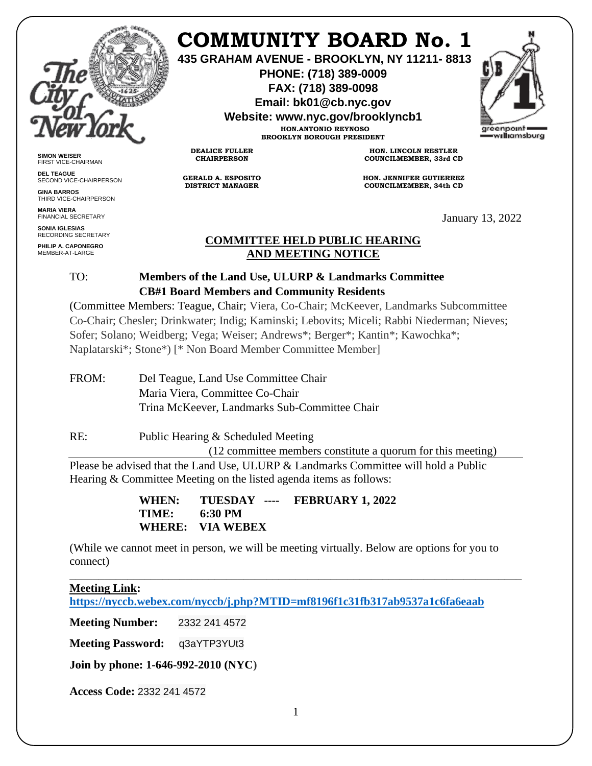

# **COMMUNITY BOARD No. 1**

**435 GRAHAM AVENUE - BROOKLYN, NY 11211- 8813**

**PHONE: (718) 389-0009 FAX: (718) 389-0098**

**Email: bk01@cb.nyc.gov**

**Website: www.nyc.gov/brooklyncb1**

**HON.ANTONIO REYNOSO BROOKLYN BOROUGH PRESIDENT**



**SIMON WEISER** FIRST VICE-CHAIRMAN

**DEL TEAGUE** SECOND VICE-CHAIRPERSON

**GINA BARROS** THIRD VICE-CHAIRPERSON

**MARIA VIERA** FINANCIAL SECRETARY

**SONIA IGLESIAS** RECORDING SECRETARY **PHILIP A. CAPONEGRO**

MEMBER-AT-LARGE

**GERALD A. ESPOSITO DISTRICT MANAGER**

**DEALICE FULLER CHAIRPERSON**

**HON. LINCOLN RESTLER COUNCILMEMBER, 33rd CD**

**HON. JENNIFER GUTIERREZ COUNCILMEMBER, 34th CD**

January 13, 2022

#### **COMMITTEE HELD PUBLIC HEARING AND MEETING NOTICE**

### TO: **Members of the Land Use, ULURP & Landmarks Committee CB#1 Board Members and Community Residents**

(Committee Members: Teague, Chair; Viera, Co-Chair; McKeever, Landmarks Subcommittee Co-Chair; Chesler; Drinkwater; Indig; Kaminski; Lebovits; Miceli; Rabbi Niederman; Nieves; Sofer; Solano; Weidberg; Vega; Weiser; Andrews\*; Berger\*; Kantin\*; Kawochka\*; Naplatarski\*; Stone\*) [\* Non Board Member Committee Member]

FROM: Del Teague, Land Use Committee Chair Maria Viera, Committee Co-Chair Trina McKeever, Landmarks Sub-Committee Chair

RE: Public Hearing & Scheduled Meeting (12 committee members constitute a quorum for this meeting) Please be advised that the Land Use, ULURP & Landmarks Committee will hold a Public Hearing & Committee Meeting on the listed agenda items as follows:

> **WHEN: TUESDAY ---- FEBRUARY 1, 2022 TIME: 6:30 PM WHERE: VIA WEBEX**

(While we cannot meet in person, we will be meeting virtually. Below are options for you to connect)

#### \_\_\_\_\_\_\_\_\_\_\_\_\_\_\_\_\_\_\_\_\_\_\_\_\_\_\_\_\_\_\_\_\_\_\_\_\_\_\_\_\_\_\_\_\_\_\_\_\_\_\_\_\_\_\_\_\_\_\_\_\_\_\_\_\_\_\_\_\_\_\_\_\_\_\_\_\_\_ **Meeting Link: <https://nyccb.webex.com/nyccb/j.php?MTID=mf8196f1c31fb317ab9537a1c6fa6eaab>**

**Meeting Number:** 2332 241 4572

**Meeting Password:** q3aYTP3YUt3

**Join by phone: 1-646-992-2010 (NYC)**

**Access Code:** 2332 241 4572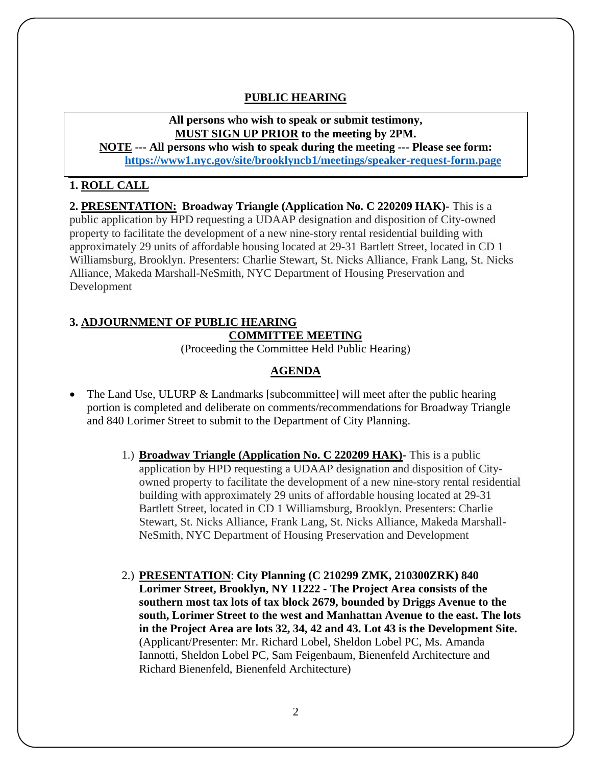#### **PUBLIC HEARING**

#### **All persons who wish to speak or submit testimony, MUST SIGN UP PRIOR to the meeting by 2PM.**

**NOTE --- All persons who wish to speak during the meeting --- Please see form: <https://www1.nyc.gov/site/brooklyncb1/meetings/speaker-request-form.page>**

#### **1. ROLL CALL**

**2. PRESENTATION: Broadway Triangle (Application No. C 220209 HAK)-** This is a public application by HPD requesting a UDAAP designation and disposition of City-owned property to facilitate the development of a new nine-story rental residential building with approximately 29 units of affordable housing located at 29-31 Bartlett Street, located in CD 1 Williamsburg, Brooklyn. Presenters: Charlie Stewart, St. Nicks Alliance, Frank Lang, St. Nicks Alliance, Makeda Marshall-NeSmith, NYC Department of Housing Preservation and Development

## **3. ADJOURNMENT OF PUBLIC HEARING COMMITTEE MEETING**

(Proceeding the Committee Held Public Hearing)

#### **AGENDA**

- The Land Use, ULURP & Landmarks [subcommittee] will meet after the public hearing portion is completed and deliberate on comments/recommendations for Broadway Triangle and 840 Lorimer Street to submit to the Department of City Planning.
	- 1.) **Broadway Triangle (Application No. C 220209 HAK)-** This is a public application by HPD requesting a UDAAP designation and disposition of Cityowned property to facilitate the development of a new nine-story rental residential building with approximately 29 units of affordable housing located at 29-31 Bartlett Street, located in CD 1 Williamsburg, Brooklyn. Presenters: Charlie Stewart, St. Nicks Alliance, Frank Lang, St. Nicks Alliance, Makeda Marshall-NeSmith, NYC Department of Housing Preservation and Development
	- 2.) **PRESENTATION**: **City Planning (C 210299 ZMK, 210300ZRK) 840 Lorimer Street, Brooklyn, NY 11222 - The Project Area consists of the southern most tax lots of tax block 2679, bounded by Driggs Avenue to the south, Lorimer Street to the west and Manhattan Avenue to the east. The lots in the Project Area are lots 32, 34, 42 and 43. Lot 43 is the Development Site.**  (Applicant/Presenter: Mr. Richard Lobel, Sheldon Lobel PC, Ms. Amanda Iannotti, Sheldon Lobel PC, Sam Feigenbaum, Bienenfeld Architecture and Richard Bienenfeld, Bienenfeld Architecture)